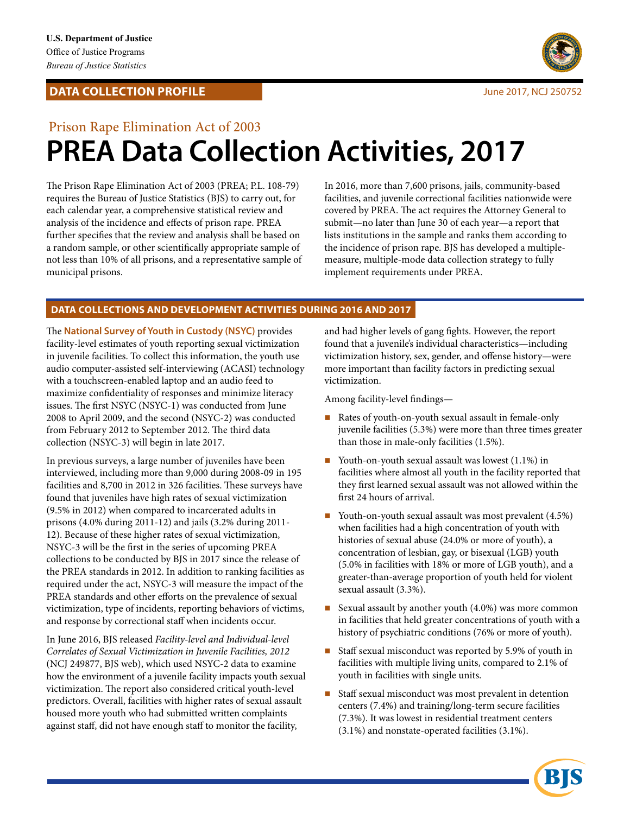## **DATA COLLECTION PROFILE Superior Section 2017, NCJ 250752**



# Prison Rape Elimination Act of 2003 **PREA Data Collection Activities, 2017**

The Prison Rape Elimination Act of 2003 (PREA; P.L. 108-79) requires the Bureau of Justice Statistics (BJS) to carry out, for each calendar year, a comprehensive statistical review and analysis of the incidence and effects of prison rape. PREA further specifies that the review and analysis shall be based on a random sample, or other scientifically appropriate sample of not less than 10% of all prisons, and a representative sample of municipal prisons.

In 2016, more than 7,600 prisons, jails, community-based facilities, and juvenile correctional facilities nationwide were covered by PREA. The act requires the Attorney General to submit—no later than June 30 of each year—a report that lists institutions in the sample and ranks them according to the incidence of prison rape. BJS has developed a multiplemeasure, multiple-mode data collection strategy to fully implement requirements under PREA.

## **DATA COLLECTIONS AND DEVELOPMENT ACTIVITIES DURING 2016 AND 2017**

The **National Survey of Youth in Custody (NSYC)** provides facility-level estimates of youth reporting sexual victimization in juvenile facilities. To collect this information, the youth use audio computer-assisted self-interviewing (ACASI) technology with a touchscreen-enabled laptop and an audio feed to maximize confidentiality of responses and minimize literacy issues. The first NSYC (NSYC-1) was conducted from June 2008 to April 2009, and the second (NSYC-2) was conducted from February 2012 to September 2012. The third data collection (NSYC-3) will begin in late 2017.

In previous surveys, a large number of juveniles have been interviewed, including more than 9,000 during 2008-09 in 195 facilities and 8,700 in 2012 in 326 facilities. These surveys have found that juveniles have high rates of sexual victimization (9.5% in 2012) when compared to incarcerated adults in prisons (4.0% during 2011-12) and jails (3.2% during 2011- 12). Because of these higher rates of sexual victimization, NSYC-3 will be the first in the series of upcoming PREA collections to be conducted by BJS in 2017 since the release of the PREA standards in 2012. In addition to ranking facilities as required under the act, NSYC-3 will measure the impact of the PREA standards and other efforts on the prevalence of sexual victimization, type of incidents, reporting behaviors of victims, and response by correctional staff when incidents occur.

In June 2016, BJS released *Facility-level and Individual-level Correlates of Sexual Victimization in Juvenile Facilities, 2012*  (NCJ 249877, BJS web), which used NSYC-2 data to examine how the environment of a juvenile facility impacts youth sexual victimization. The report also considered critical youth-level predictors. Overall, facilities with higher rates of sexual assault housed more youth who had submitted written complaints against staff, did not have enough staff to monitor the facility,

and had higher levels of gang fights. However, the report found that a juvenile's individual characteristics—including victimization history, sex, gender, and offense history—were more important than facility factors in predicting sexual victimization.

Among facility-level findings—

- Rates of youth-on-youth sexual assault in female-only juvenile facilities (5.3%) were more than three times greater than those in male-only facilities (1.5%).
- Youth-on-youth sexual assault was lowest  $(1.1\%)$  in facilities where almost all youth in the facility reported that they first learned sexual assault was not allowed within the first 24 hours of arrival.
- Youth-on-youth sexual assault was most prevalent  $(4.5\%)$ when facilities had a high concentration of youth with histories of sexual abuse (24.0% or more of youth), a concentration of lesbian, gay, or bisexual (LGB) youth (5.0% in facilities with 18% or more of LGB youth), and a greater-than-average proportion of youth held for violent sexual assault (3.3%).
- Sexual assault by another youth  $(4.0%)$  was more common in facilities that held greater concentrations of youth with a history of psychiatric conditions (76% or more of youth).
- Staff sexual misconduct was reported by 5.9% of youth in facilities with multiple living units, compared to 2.1% of youth in facilities with single units.
- Staff sexual misconduct was most prevalent in detention centers (7.4%) and training/long-term secure facilities (7.3%). It was lowest in residential treatment centers (3.1%) and nonstate-operated facilities (3.1%).

BR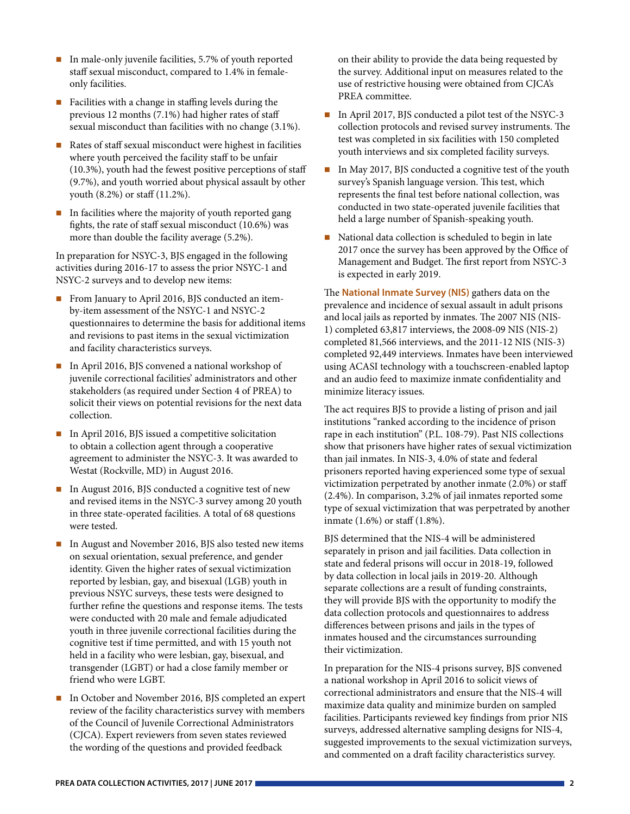- In male-only juvenile facilities,  $5.7\%$  of youth reported staff sexual misconduct, compared to 1.4% in femaleonly facilities.
- Facilities with a change in staffing levels during the previous 12 months (7.1%) had higher rates of staff sexual misconduct than facilities with no change (3.1%).
- Rates of staff sexual misconduct were highest in facilities where youth perceived the facility staff to be unfair (10.3%), youth had the fewest positive perceptions of staff (9.7%), and youth worried about physical assault by other youth (8.2%) or staff (11.2%).
- $\blacksquare$  In facilities where the majority of youth reported gang fights, the rate of staff sexual misconduct (10.6%) was more than double the facility average (5.2%).

In preparation for NSYC-3, BJS engaged in the following activities during 2016-17 to assess the prior NSYC-1 and NSYC-2 surveys and to develop new items:

- From January to April 2016, BJS conducted an itemby-item assessment of the NSYC-1 and NSYC-2 questionnaires to determine the basis for additional items and revisions to past items in the sexual victimization and facility characteristics surveys.
- In April 2016, BJS convened a national workshop of juvenile correctional facilities' administrators and other stakeholders (as required under Section 4 of PREA) to solicit their views on potential revisions for the next data collection.
- In April 2016, BJS issued a competitive solicitation to obtain a collection agent through a cooperative agreement to administer the NSYC-3. It was awarded to Westat (Rockville, MD) in August 2016.
- In August 2016, BJS conducted a cognitive test of new and revised items in the NSYC-3 survey among 20 youth in three state-operated facilities. A total of 68 questions were tested.
- In August and November 2016, BJS also tested new items on sexual orientation, sexual preference, and gender identity. Given the higher rates of sexual victimization reported by lesbian, gay, and bisexual (LGB) youth in previous NSYC surveys, these tests were designed to further refine the questions and response items. The tests were conducted with 20 male and female adjudicated youth in three juvenile correctional facilities during the cognitive test if time permitted, and with 15 youth not held in a facility who were lesbian, gay, bisexual, and transgender (LGBT) or had a close family member or friend who were LGBT.
- In October and November 2016, BJS completed an expert review of the facility characteristics survey with members of the Council of Juvenile Correctional Administrators (CJCA). Expert reviewers from seven states reviewed the wording of the questions and provided feedback

on their ability to provide the data being requested by the survey. Additional input on measures related to the use of restrictive housing were obtained from CJCA's PREA committee.

- In April 2017, BJS conducted a pilot test of the NSYC-3 collection protocols and revised survey instruments. The test was completed in six facilities with 150 completed youth interviews and six completed facility surveys.
- In May 2017, BJS conducted a cognitive test of the youth survey's Spanish language version. This test, which represents the final test before national collection, was conducted in two state-operated juvenile facilities that held a large number of Spanish-speaking youth.
- National data collection is scheduled to begin in late 2017 once the survey has been approved by the Office of Management and Budget. The first report from NSYC-3 is expected in early 2019.

The **National Inmate Survey (NIS)** gathers data on the prevalence and incidence of sexual assault in adult prisons and local jails as reported by inmates. The 2007 NIS (NIS-1) completed 63,817 interviews, the 2008-09 NIS (NIS-2) completed 81,566 interviews, and the 2011-12 NIS (NIS-3) completed 92,449 interviews. Inmates have been interviewed using ACASI technology with a touchscreen-enabled laptop and an audio feed to maximize inmate confidentiality and minimize literacy issues.

The act requires BJS to provide a listing of prison and jail institutions "ranked according to the incidence of prison rape in each institution" (P.L. 108-79). Past NIS collections show that prisoners have higher rates of sexual victimization than jail inmates. In NIS-3, 4.0% of state and federal prisoners reported having experienced some type of sexual victimization perpetrated by another inmate (2.0%) or staff (2.4%). In comparison, 3.2% of jail inmates reported some type of sexual victimization that was perpetrated by another inmate (1.6%) or staff (1.8%).

BJS determined that the NIS-4 will be administered separately in prison and jail facilities. Data collection in state and federal prisons will occur in 2018-19, followed by data collection in local jails in 2019-20. Although separate collections are a result of funding constraints, they will provide BJS with the opportunity to modify the data collection protocols and questionnaires to address differences between prisons and jails in the types of inmates housed and the circumstances surrounding their victimization.

In preparation for the NIS-4 prisons survey, BJS convened a national workshop in April 2016 to solicit views of correctional administrators and ensure that the NIS-4 will maximize data quality and minimize burden on sampled facilities. Participants reviewed key findings from prior NIS surveys, addressed alternative sampling designs for NIS-4, suggested improvements to the sexual victimization surveys, and commented on a draft facility characteristics survey.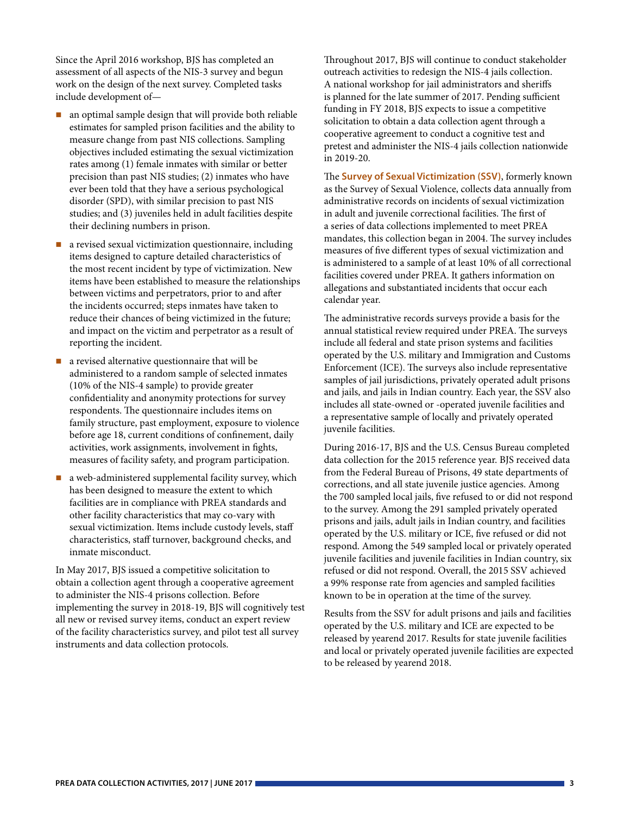Since the April 2016 workshop, BJS has completed an assessment of all aspects of the NIS-3 survey and begun work on the design of the next survey. Completed tasks include development of—

- $\blacksquare$  an optimal sample design that will provide both reliable estimates for sampled prison facilities and the ability to measure change from past NIS collections. Sampling objectives included estimating the sexual victimization rates among (1) female inmates with similar or better precision than past NIS studies; (2) inmates who have ever been told that they have a serious psychological disorder (SPD), with similar precision to past NIS studies; and (3) juveniles held in adult facilities despite their declining numbers in prison.
- **a** revised sexual victimization questionnaire, including items designed to capture detailed characteristics of the most recent incident by type of victimization. New items have been established to measure the relationships between victims and perpetrators, prior to and after the incidents occurred; steps inmates have taken to reduce their chances of being victimized in the future; and impact on the victim and perpetrator as a result of reporting the incident.
- a revised alternative questionnaire that will be administered to a random sample of selected inmates (10% of the NIS-4 sample) to provide greater confidentiality and anonymity protections for survey respondents. The questionnaire includes items on family structure, past employment, exposure to violence before age 18, current conditions of confinement, daily activities, work assignments, involvement in fights, measures of facility safety, and program participation.
- a web-administered supplemental facility survey, which has been designed to measure the extent to which facilities are in compliance with PREA standards and other facility characteristics that may co-vary with sexual victimization. Items include custody levels, staff characteristics, staff turnover, background checks, and inmate misconduct.

In May 2017, BJS issued a competitive solicitation to obtain a collection agent through a cooperative agreement to administer the NIS-4 prisons collection. Before implementing the survey in 2018-19, BJS will cognitively test all new or revised survey items, conduct an expert review of the facility characteristics survey, and pilot test all survey instruments and data collection protocols.

Throughout 2017, BJS will continue to conduct stakeholder outreach activities to redesign the NIS-4 jails collection. A national workshop for jail administrators and sheriffs is planned for the late summer of 2017. Pending sufficient funding in FY 2018, BJS expects to issue a competitive solicitation to obtain a data collection agent through a cooperative agreement to conduct a cognitive test and pretest and administer the NIS-4 jails collection nationwide in 2019-20.

The **Survey of Sexual Victimization (SSV)**, formerly known as the Survey of Sexual Violence, collects data annually from administrative records on incidents of sexual victimization in adult and juvenile correctional facilities. The first of a series of data collections implemented to meet PREA mandates, this collection began in 2004. The survey includes measures of five different types of sexual victimization and is administered to a sample of at least 10% of all correctional facilities covered under PREA. It gathers information on allegations and substantiated incidents that occur each calendar year.

The administrative records surveys provide a basis for the annual statistical review required under PREA. The surveys include all federal and state prison systems and facilities operated by the U.S. military and Immigration and Customs Enforcement (ICE). The surveys also include representative samples of jail jurisdictions, privately operated adult prisons and jails, and jails in Indian country. Each year, the SSV also includes all state-owned or -operated juvenile facilities and a representative sample of locally and privately operated juvenile facilities.

During 2016-17, BJS and the U.S. Census Bureau completed data collection for the 2015 reference year. BJS received data from the Federal Bureau of Prisons, 49 state departments of corrections, and all state juvenile justice agencies. Among the 700 sampled local jails, five refused to or did not respond to the survey. Among the 291 sampled privately operated prisons and jails, adult jails in Indian country, and facilities operated by the U.S. military or ICE, five refused or did not respond. Among the 549 sampled local or privately operated juvenile facilities and juvenile facilities in Indian country, six refused or did not respond. Overall, the 2015 SSV achieved a 99% response rate from agencies and sampled facilities known to be in operation at the time of the survey.

Results from the SSV for adult prisons and jails and facilities operated by the U.S. military and ICE are expected to be released by yearend 2017. Results for state juvenile facilities and local or privately operated juvenile facilities are expected to be released by yearend 2018.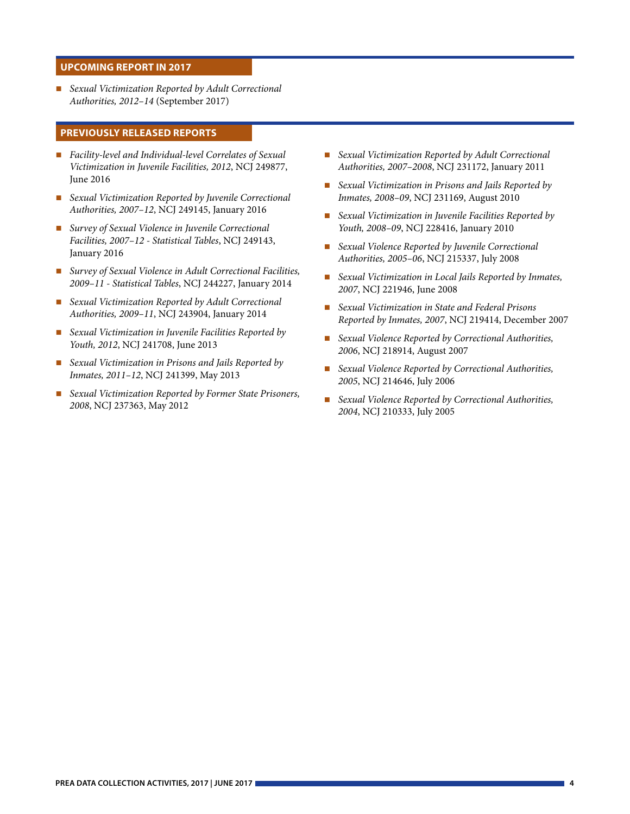#### **UPCOMING REPORT IN 2017**

 *Sexual Victimization Reported by Adult Correctional Authorities, 2012–14* (September 2017)

### **PREVIOUSLY RELEASED REPORTS**

- *Facility-level and Individual-level Correlates of Sexual Victimization in Juvenile Facilities, 2012*, NCJ 249877, June 2016
- *Sexual Victimization Reported by Juvenile Correctional Authorities, 2007–12*, NCJ 249145, January 2016
- *Survey of Sexual Violence in Juvenile Correctional Facilities, 2007–12 - Statistical Tables*, NCJ 249143, January 2016
- *Survey of Sexual Violence in Adult Correctional Facilities, 2009–11 - Statistical Tables*, NCJ 244227, January 2014
- *Sexual Victimization Reported by Adult Correctional Authorities, 2009–11*, NCJ 243904, January 2014
- *Sexual Victimization in Juvenile Facilities Reported by Youth, 2012*, NCJ 241708, June 2013
- *Sexual Victimization in Prisons and Jails Reported by Inmates, 2011–12*, NCJ 241399, May 2013
- *Sexual Victimization Reported by Former State Prisoners, 2008*, NCJ 237363, May 2012
- *Sexual Victimization Reported by Adult Correctional Authorities, 2007–2008*, NCJ 231172, January 2011
- *Sexual Victimization in Prisons and Jails Reported by Inmates, 2008–09*, NCJ 231169, August 2010
- *Sexual Victimization in Juvenile Facilities Reported by Youth, 2008–09*, NCJ 228416, January 2010
- *Sexual Violence Reported by Juvenile Correctional Authorities, 2005–06*, NCJ 215337, July 2008
- *Sexual Victimization in Local Jails Reported by Inmates, 2007*, NCJ 221946, June 2008
- *Sexual Victimization in State and Federal Prisons Reported by Inmates, 2007*, NCJ 219414, December 2007
- *Sexual Violence Reported by Correctional Authorities, 2006*, NCJ 218914, August 2007
- *Sexual Violence Reported by Correctional Authorities, 2005*, NCJ 214646, July 2006
- *Sexual Violence Reported by Correctional Authorities, 2004*, NCJ 210333, July 2005